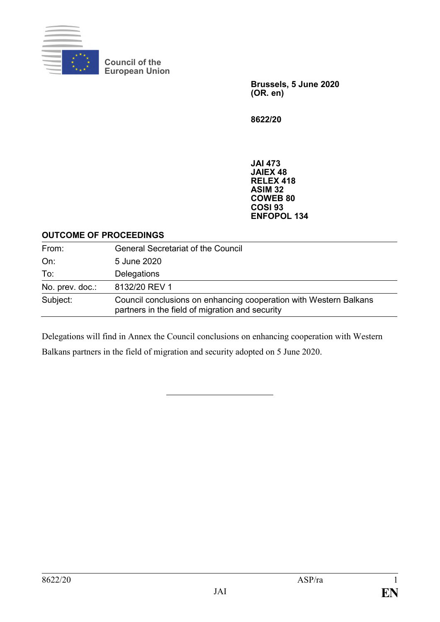

**Council of the European Union**

> **Brussels, 5 June 2020 (OR. en)**

**8622/20**

**JAI 473 JAIEX 48 RELEX 418 ASIM 32 COWEB 80 COSI 93 ENFOPOL 134**

#### **OUTCOME OF PROCEEDINGS**

| From:           | <b>General Secretariat of the Council</b>                                                                            |
|-----------------|----------------------------------------------------------------------------------------------------------------------|
| On:             | 5 June 2020                                                                                                          |
| To:             | Delegations                                                                                                          |
| No. prev. doc.: | 8132/20 REV 1                                                                                                        |
| Subject:        | Council conclusions on enhancing cooperation with Western Balkans<br>partners in the field of migration and security |

Delegations will find in Annex the Council conclusions on enhancing cooperation with Western Balkans partners in the field of migration and security adopted on 5 June 2020.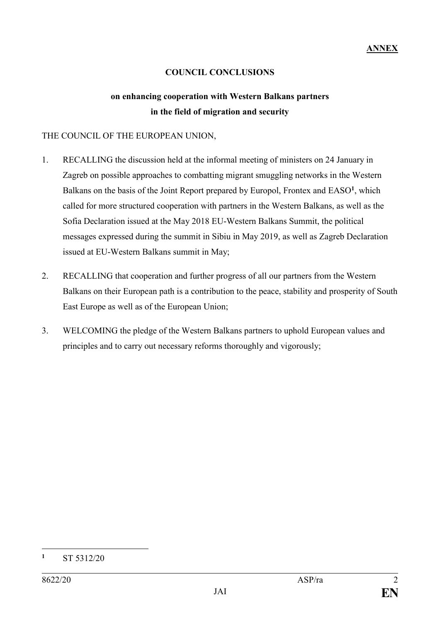# **COUNCIL CONCLUSIONS**

# **on enhancing cooperation with Western Balkans partners in the field of migration and security**

# THE COUNCIL OF THE EUROPEAN UNION,

- 1. RECALLING the discussion held at the informal meeting of ministers on 24 January in Zagreb on possible approaches to combatting migrant smuggling networks in the Western Balkans on the basis of the Joint Report prepared by Europol, Frontex and EASO<sup>1</sup>, which called for more structured cooperation with partners in the Western Balkans, as well as the Sofia Declaration issued at the May 2018 EU-Western Balkans Summit, the political messages expressed during the summit in Sibiu in May 2019, as well as Zagreb Declaration issued at EU-Western Balkans summit in May;
- 2. RECALLING that cooperation and further progress of all our partners from the Western Balkans on their European path is a contribution to the peace, stability and prosperity of South East Europe as well as of the European Union;
- 3. WELCOMING the pledge of the Western Balkans partners to uphold European values and principles and to carry out necessary reforms thoroughly and vigorously;

1

**<sup>1</sup>** ST 5312/20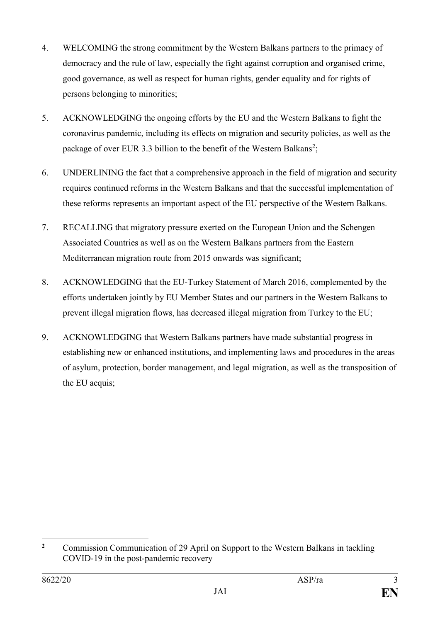- 4. WELCOMING the strong commitment by the Western Balkans partners to the primacy of democracy and the rule of law, especially the fight against corruption and organised crime, good governance, as well as respect for human rights, gender equality and for rights of persons belonging to minorities;
- 5. ACKNOWLEDGING the ongoing efforts by the EU and the Western Balkans to fight the coronavirus pandemic, including its effects on migration and security policies, as well as the package of over EUR 3.3 billion to the benefit of the Western Balkans<sup>2</sup>;
- 6. UNDERLINING the fact that a comprehensive approach in the field of migration and security requires continued reforms in the Western Balkans and that the successful implementation of these reforms represents an important aspect of the EU perspective of the Western Balkans.
- 7. RECALLING that migratory pressure exerted on the European Union and the Schengen Associated Countries as well as on the Western Balkans partners from the Eastern Mediterranean migration route from 2015 onwards was significant;
- 8. ACKNOWLEDGING that the EU-Turkey Statement of March 2016, complemented by the efforts undertaken jointly by EU Member States and our partners in the Western Balkans to prevent illegal migration flows, has decreased illegal migration from Turkey to the EU;
- 9. ACKNOWLEDGING that Western Balkans partners have made substantial progress in establishing new or enhanced institutions, and implementing laws and procedures in the areas of asylum, protection, border management, and legal migration, as well as the transposition of the EU acquis;

 $\overline{2}$ **<sup>2</sup>** Commission Communication of 29 April on Support to the Western Balkans in tackling COVID-19 in the post-pandemic recovery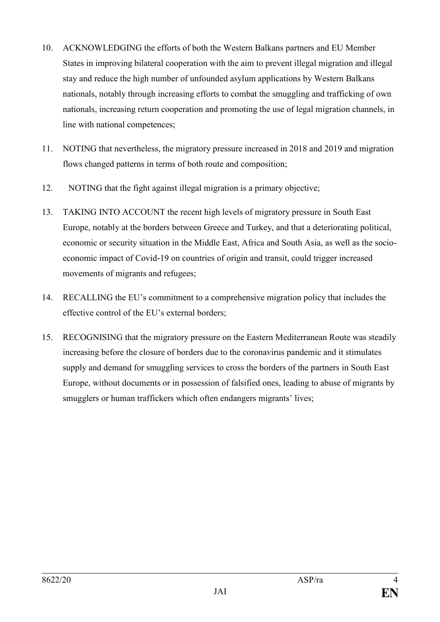- 10. ACKNOWLEDGING the efforts of both the Western Balkans partners and EU Member States in improving bilateral cooperation with the aim to prevent illegal migration and illegal stay and reduce the high number of unfounded asylum applications by Western Balkans nationals, notably through increasing efforts to combat the smuggling and trafficking of own nationals, increasing return cooperation and promoting the use of legal migration channels, in line with national competences;
- 11. NOTING that nevertheless, the migratory pressure increased in 2018 and 2019 and migration flows changed patterns in terms of both route and composition;
- 12. NOTING that the fight against illegal migration is a primary objective;
- 13. TAKING INTO ACCOUNT the recent high levels of migratory pressure in South East Europe, notably at the borders between Greece and Turkey, and that a deteriorating political, economic or security situation in the Middle East, Africa and South Asia, as well as the socioeconomic impact of Covid-19 on countries of origin and transit, could trigger increased movements of migrants and refugees;
- 14. RECALLING the EU's commitment to a comprehensive migration policy that includes the effective control of the EU's external borders;
- 15. RECOGNISING that the migratory pressure on the Eastern Mediterranean Route was steadily increasing before the closure of borders due to the coronavirus pandemic and it stimulates supply and demand for smuggling services to cross the borders of the partners in South East Europe, without documents or in possession of falsified ones, leading to abuse of migrants by smugglers or human traffickers which often endangers migrants' lives;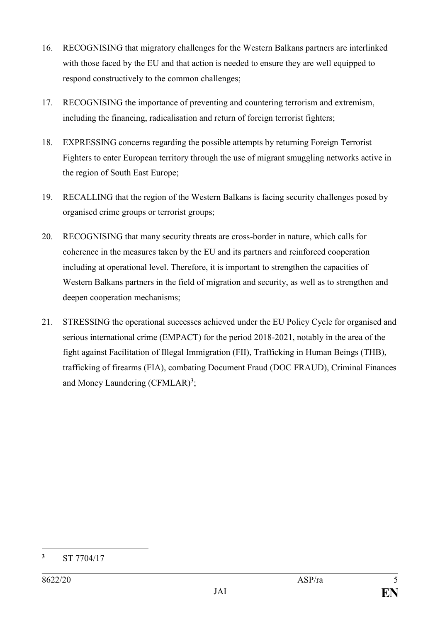- 16. RECOGNISING that migratory challenges for the Western Balkans partners are interlinked with those faced by the EU and that action is needed to ensure they are well equipped to respond constructively to the common challenges;
- 17. RECOGNISING the importance of preventing and countering terrorism and extremism, including the financing, radicalisation and return of foreign terrorist fighters;
- 18. EXPRESSING concerns regarding the possible attempts by returning Foreign Terrorist Fighters to enter European territory through the use of migrant smuggling networks active in the region of South East Europe;
- 19. RECALLING that the region of the Western Balkans is facing security challenges posed by organised crime groups or terrorist groups;
- 20. RECOGNISING that many security threats are cross-border in nature, which calls for coherence in the measures taken by the EU and its partners and reinforced cooperation including at operational level. Therefore, it is important to strengthen the capacities of Western Balkans partners in the field of migration and security, as well as to strengthen and deepen cooperation mechanisms;
- 21. STRESSING the operational successes achieved under the EU Policy Cycle for organised and serious international crime (EMPACT) for the period 2018-2021, notably in the area of the fight against Facilitation of Illegal Immigration (FII), Trafficking in Human Beings (THB), trafficking of firearms (FIA), combating Document Fraud (DOC FRAUD), Criminal Finances and Money Laundering (CFMLAR)<sup>3</sup>;

1

**<sup>3</sup>** ST 7704/17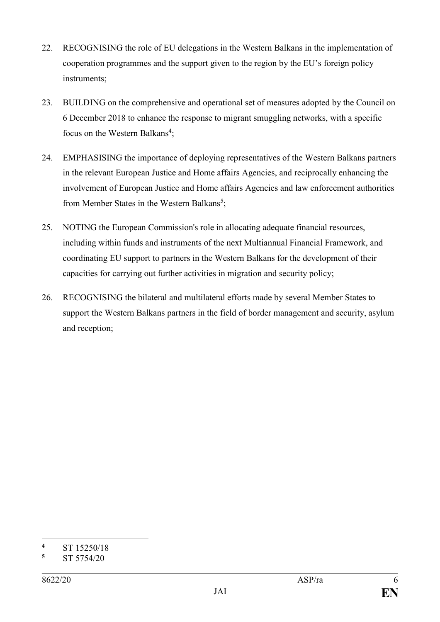- 22. RECOGNISING the role of EU delegations in the Western Balkans in the implementation of cooperation programmes and the support given to the region by the EU's foreign policy instruments;
- 23. BUILDING on the comprehensive and operational set of measures adopted by the Council on 6 December 2018 to enhance the response to migrant smuggling networks, with a specific focus on the Western Balkans<sup>4</sup>;
- 24. EMPHASISING the importance of deploying representatives of the Western Balkans partners in the relevant European Justice and Home affairs Agencies, and reciprocally enhancing the involvement of European Justice and Home affairs Agencies and law enforcement authorities from Member States in the Western Balkans<sup>5</sup>;
- 25. NOTING the European Commission's role in allocating adequate financial resources, including within funds and instruments of the next Multiannual Financial Framework, and coordinating EU support to partners in the Western Balkans for the development of their capacities for carrying out further activities in migration and security policy;
- 26. RECOGNISING the bilateral and multilateral efforts made by several Member States to support the Western Balkans partners in the field of border management and security, asylum and reception;

<sup>1</sup>  $\frac{4}{5}$  ST 15250/18

**<sup>5</sup>** ST 5754/20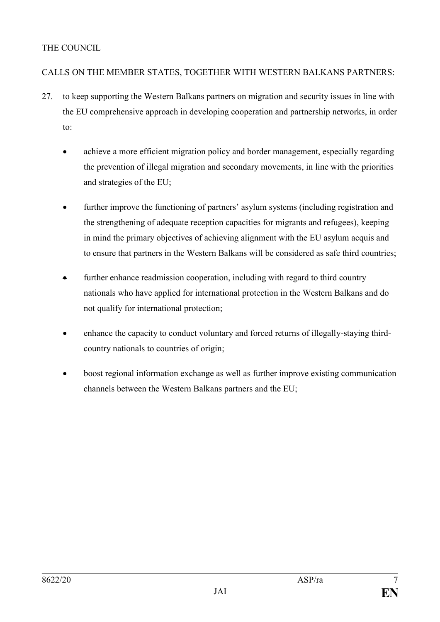# THE COUNCIL

# CALLS ON THE MEMBER STATES, TOGETHER WITH WESTERN BALKANS PARTNERS:

- 27. to keep supporting the Western Balkans partners on migration and security issues in line with the EU comprehensive approach in developing cooperation and partnership networks, in order to:
	- achieve a more efficient migration policy and border management, especially regarding the prevention of illegal migration and secondary movements, in line with the priorities and strategies of the EU;
	- further improve the functioning of partners' asylum systems (including registration and the strengthening of adequate reception capacities for migrants and refugees), keeping in mind the primary objectives of achieving alignment with the EU asylum acquis and to ensure that partners in the Western Balkans will be considered as safe third countries;
	- further enhance readmission cooperation, including with regard to third country nationals who have applied for international protection in the Western Balkans and do not qualify for international protection;
	- enhance the capacity to conduct voluntary and forced returns of illegally-staying thirdcountry nationals to countries of origin;
	- boost regional information exchange as well as further improve existing communication channels between the Western Balkans partners and the EU;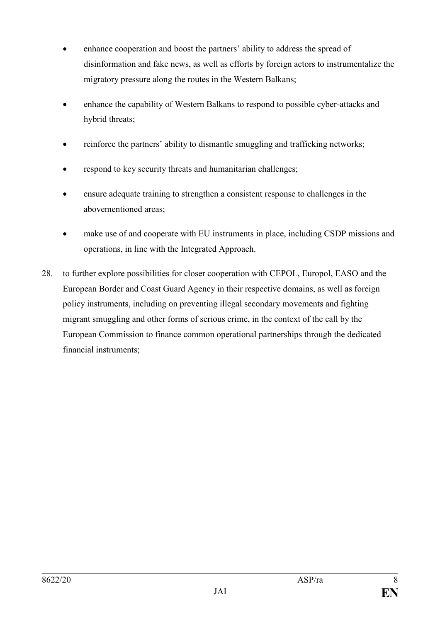- enhance cooperation and boost the partners' ability to address the spread of disinformation and fake news, as well as efforts by foreign actors to instrumentalize the migratory pressure along the routes in the Western Balkans;
- enhance the capability of Western Balkans to respond to possible cyber-attacks and hybrid threats;
- reinforce the partners' ability to dismantle smuggling and trafficking networks;
- respond to key security threats and humanitarian challenges;
- ensure adequate training to strengthen a consistent response to challenges in the abovementioned areas;
- make use of and cooperate with EU instruments in place, including CSDP missions and operations, in line with the Integrated Approach.
- 28. to further explore possibilities for closer cooperation with CEPOL, Europol, EASO and the European Border and Coast Guard Agency in their respective domains, as well as foreign policy instruments, including on preventing illegal secondary movements and fighting migrant smuggling and other forms of serious crime, in the context of the call by the European Commission to finance common operational partnerships through the dedicated financial instruments;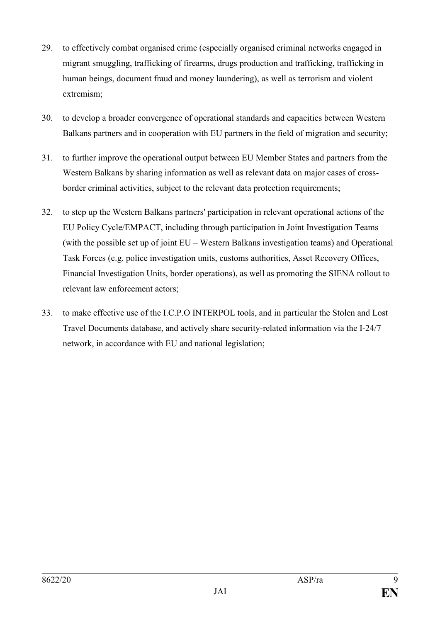- 29. to effectively combat organised crime (especially organised criminal networks engaged in migrant smuggling, trafficking of firearms, drugs production and trafficking, trafficking in human beings, document fraud and money laundering), as well as terrorism and violent extremism;
- 30. to develop a broader convergence of operational standards and capacities between Western Balkans partners and in cooperation with EU partners in the field of migration and security;
- 31. to further improve the operational output between EU Member States and partners from the Western Balkans by sharing information as well as relevant data on major cases of crossborder criminal activities, subject to the relevant data protection requirements;
- 32. to step up the Western Balkans partners' participation in relevant operational actions of the EU Policy Cycle/EMPACT, including through participation in Joint Investigation Teams (with the possible set up of joint EU – Western Balkans investigation teams) and Operational Task Forces (e.g. police investigation units, customs authorities, Asset Recovery Offices, Financial Investigation Units, border operations), as well as promoting the SIENA rollout to relevant law enforcement actors;
- 33. to make effective use of the I.C.P.O INTERPOL tools, and in particular the Stolen and Lost Travel Documents database, and actively share security-related information via the I-24/7 network, in accordance with EU and national legislation;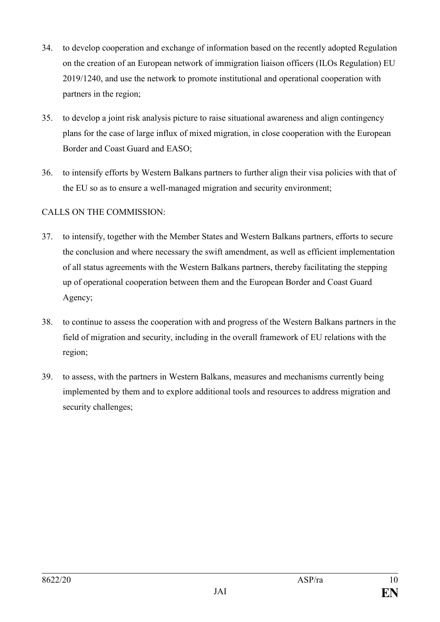- 34. to develop cooperation and exchange of information based on the recently adopted Regulation on the creation of an European network of immigration liaison officers (ILOs Regulation) EU 2019/1240, and use the network to promote institutional and operational cooperation with partners in the region;
- 35. to develop a joint risk analysis picture to raise situational awareness and align contingency plans for the case of large influx of mixed migration, in close cooperation with the European Border and Coast Guard and EASO;
- 36. to intensify efforts by Western Balkans partners to further align their visa policies with that of the EU so as to ensure a well-managed migration and security environment;

# CALLS ON THE COMMISSION:

- 37. to intensify, together with the Member States and Western Balkans partners, efforts to secure the conclusion and where necessary the swift amendment, as well as efficient implementation of all status agreements with the Western Balkans partners, thereby facilitating the stepping up of operational cooperation between them and the European Border and Coast Guard Agency;
- 38. to continue to assess the cooperation with and progress of the Western Balkans partners in the field of migration and security, including in the overall framework of EU relations with the region;
- 39. to assess, with the partners in Western Balkans, measures and mechanisms currently being implemented by them and to explore additional tools and resources to address migration and security challenges;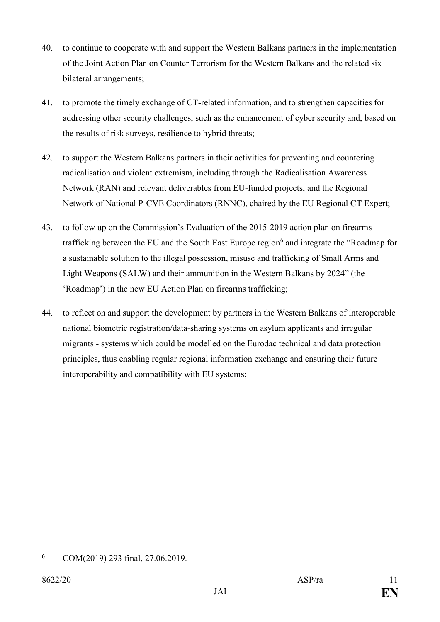- 40. to continue to cooperate with and support the Western Balkans partners in the implementation of the Joint Action Plan on Counter Terrorism for the Western Balkans and the related six bilateral arrangements;
- 41. to promote the timely exchange of CT-related information, and to strengthen capacities for addressing other security challenges, such as the enhancement of cyber security and, based on the results of risk surveys, resilience to hybrid threats;
- 42. to support the Western Balkans partners in their activities for preventing and countering radicalisation and violent extremism, including through the Radicalisation Awareness Network (RAN) and relevant deliverables from EU-funded projects, and the Regional Network of National P-CVE Coordinators (RNNC), chaired by the EU Regional CT Expert;
- 43. to follow up on the Commission's Evaluation of the 2015-2019 action plan on firearms trafficking between the EU and the South East Europe region<sup>6</sup> and integrate the "Roadmap for a sustainable solution to the illegal possession, misuse and trafficking of Small Arms and Light Weapons (SALW) and their ammunition in the Western Balkans by 2024" (the 'Roadmap') in the new EU Action Plan on firearms trafficking;
- 44. to reflect on and support the development by partners in the Western Balkans of interoperable national biometric registration/data-sharing systems on asylum applicants and irregular migrants - systems which could be modelled on the Eurodac technical and data protection principles, thus enabling regular regional information exchange and ensuring their future interoperability and compatibility with EU systems;

<sup>1</sup> **<sup>6</sup>** COM(2019) 293 final, 27.06.2019.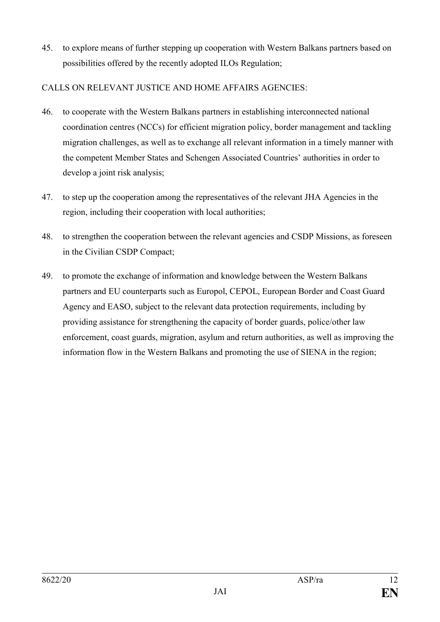45. to explore means of further stepping up cooperation with Western Balkans partners based on possibilities offered by the recently adopted ILOs Regulation;

#### CALLS ON RELEVANT JUSTICE AND HOME AFFAIRS AGENCIES:

- 46. to cooperate with the Western Balkans partners in establishing interconnected national coordination centres (NCCs) for efficient migration policy, border management and tackling migration challenges, as well as to exchange all relevant information in a timely manner with the competent Member States and Schengen Associated Countries' authorities in order to develop a joint risk analysis;
- 47. to step up the cooperation among the representatives of the relevant JHA Agencies in the region, including their cooperation with local authorities;
- 48. to strengthen the cooperation between the relevant agencies and CSDP Missions, as foreseen in the Civilian CSDP Compact;
- 49. to promote the exchange of information and knowledge between the Western Balkans partners and EU counterparts such as Europol, CEPOL, European Border and Coast Guard Agency and EASO, subject to the relevant data protection requirements, including by providing assistance for strengthening the capacity of border guards, police/other law enforcement, coast guards, migration, asylum and return authorities, as well as improving the information flow in the Western Balkans and promoting the use of SIENA in the region;